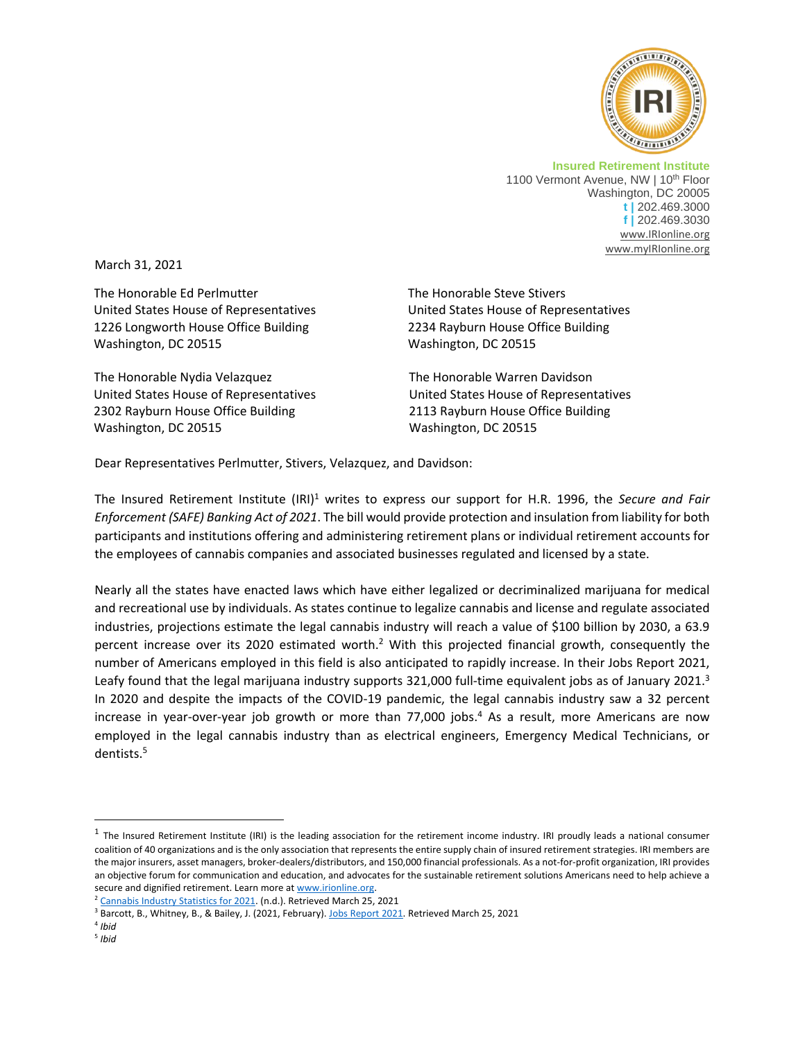

**Insured Retirement Institute** 1100 Vermont Avenue, NW | 10<sup>th</sup> Floor Washington, DC 20005 **t |** 202.469.3000 **f |** 202.469.3030 [www.IRIonline.org](http://www.irionline.org/) [www.myIRIonline.org](http://www.myirionline.org/)

March 31, 2021

The Honorable Ed Perlmutter United States House of Representatives 1226 Longworth House Office Building Washington, DC 20515

The Honorable Nydia Velazquez United States House of Representatives 2302 Rayburn House Office Building Washington, DC 20515

The Honorable Steve Stivers United States House of Representatives 2234 Rayburn House Office Building Washington, DC 20515

The Honorable Warren Davidson United States House of Representatives 2113 Rayburn House Office Building Washington, DC 20515

Dear Representatives Perlmutter, Stivers, Velazquez, and Davidson:

The Insured Retirement Institute (IRI)<sup>1</sup> writes to express our support for H.R. 1996, the *Secure and Fair Enforcement (SAFE) Banking Act of 2021*. The bill would provide protection and insulation from liability for both participants and institutions offering and administering retirement plans or individual retirement accounts for the employees of cannabis companies and associated businesses regulated and licensed by a state.

Nearly all the states have enacted laws which have either legalized or decriminalized marijuana for medical and recreational use by individuals. As states continue to legalize cannabis and license and regulate associated industries, projections estimate the legal cannabis industry will reach a value of \$100 billion by 2030, a 63.9 percent increase over its 2020 estimated worth.<sup>2</sup> With this projected financial growth, consequently the number of Americans employed in this field is also anticipated to rapidly increase. In their Jobs Report 2021, Leafy found that the legal marijuana industry supports 321,000 full-time equivalent jobs as of January 2021.<sup>3</sup> In 2020 and despite the impacts of the COVID-19 pandemic, the legal cannabis industry saw a 32 percent increase in year-over-year job growth or more than 77,000 jobs. <sup>4</sup> As a result, more Americans are now employed in the legal cannabis industry than as electrical engineers, Emergency Medical Technicians, or dentists.<sup>5</sup>

 $^1$  The Insured Retirement Institute (IRI) is the leading association for the retirement income industry. IRI proudly leads a national consumer coalition of 40 organizations and is the only association that represents the entire supply chain of insured retirement strategies. IRI members are the major insurers, asset managers, broker-dealers/distributors, and 150,000 financial professionals. As a not-for-profit organization, IRI provides an objective forum for communication and education, and advocates for the sustainable retirement solutions Americans need to help achieve a secure and dignified retirement. Learn more a[t www.irionline.org.](http://www.irionline.org/)

<sup>&</sup>lt;sup>2</sup> Cannabis Industry [Statistics for 2021.](https://flowhub.com/cannabis-industry-statistics) (n.d.). Retrieved March 25, 2021

<sup>&</sup>lt;sup>3</sup> Barcott, B., Whitney, B., & Bailey, J. (2021, February)[. Jobs Report 2021.](file:///C:/Users/prichman/AppData/Local/Microsoft/Windows/INetCache/Content.Outlook/TRN7M9NP/Barcott,%20B.,%20Whitney,%20B.,%20&%20Bailey,%20J.%20(2021,%20February).%20Jobs%20Report%202021.%20Retrieved%20March%2025,%20202,%20from%20https:/leafly-cms-production.imgix.net/wp-content/uploads/2021/02/13180206/Leafly-JobsReport-2021-v14.pdf) Retrieved March 25, 2021

<sup>4</sup> *Ibid*

<sup>5</sup> *Ibid*